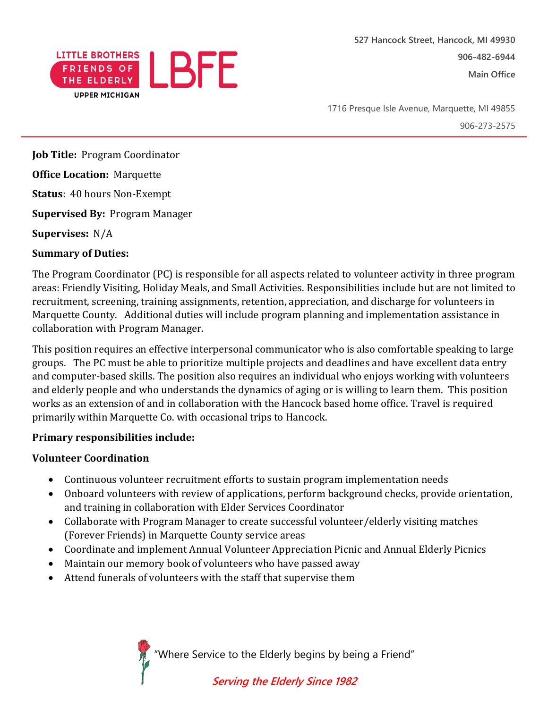

1716 Presque Isle Avenue, Marquette, MI 49855 906-273-2575

**Job Title:** Program Coordinator

**Office Location:** Marquette

**Status**: 40 hours Non-Exempt

**Supervised By:** Program Manager

**Supervises:** N/A

## **Summary of Duties:**

The Program Coordinator (PC) is responsible for all aspects related to volunteer activity in three program areas: Friendly Visiting, Holiday Meals, and Small Activities. Responsibilities include but are not limited to recruitment, screening, training assignments, retention, appreciation, and discharge for volunteers in Marquette County. Additional duties will include program planning and implementation assistance in collaboration with Program Manager.

This position requires an effective interpersonal communicator who is also comfortable speaking to large groups. The PC must be able to prioritize multiple projects and deadlines and have excellent data entry and computer-based skills. The position also requires an individual who enjoys working with volunteers and elderly people and who understands the dynamics of aging or is willing to learn them. This position works as an extension of and in collaboration with the Hancock based home office. Travel is required primarily within Marquette Co. with occasional trips to Hancock.

## **Primary responsibilities include:**

## **Volunteer Coordination**

- Continuous volunteer recruitment efforts to sustain program implementation needs
- Onboard volunteers with review of applications, perform background checks, provide orientation, and training in collaboration with Elder Services Coordinator
- Collaborate with Program Manager to create successful volunteer/elderly visiting matches (Forever Friends) in Marquette County service areas
- Coordinate and implement Annual Volunteer Appreciation Picnic and Annual Elderly Picnics
- Maintain our memory book of volunteers who have passed away
- Attend funerals of volunteers with the staff that supervise them

"Where Service to the Elderly begins by being a Friend"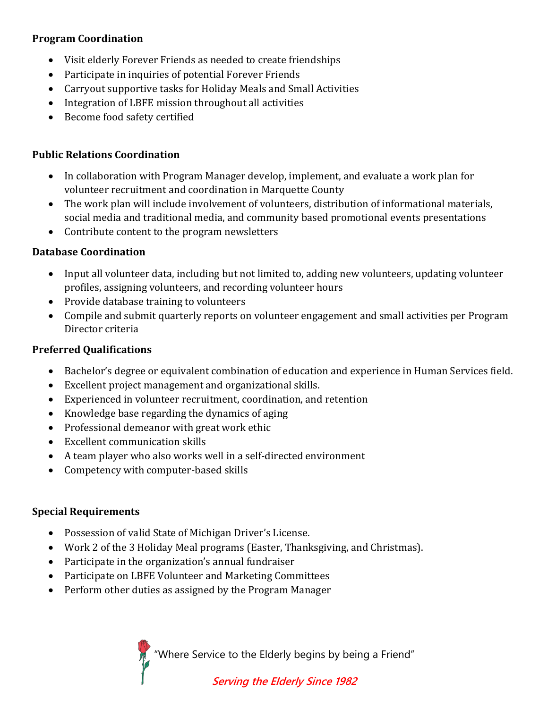# **Program Coordination**

- Visit elderly Forever Friends as needed to create friendships
- Participate in inquiries of potential Forever Friends
- Carryout supportive tasks for Holiday Meals and Small Activities
- Integration of LBFE mission throughout all activities
- Become food safety certified

## **Public Relations Coordination**

- In collaboration with Program Manager develop, implement, and evaluate a work plan for volunteer recruitment and coordination in Marquette County
- The work plan will include involvement of volunteers, distribution of informational materials, social media and traditional media, and community based promotional events presentations
- Contribute content to the program newsletters

# **Database Coordination**

- Input all volunteer data, including but not limited to, adding new volunteers, updating volunteer profiles, assigning volunteers, and recording volunteer hours
- Provide database training to volunteers
- Compile and submit quarterly reports on volunteer engagement and small activities per Program Director criteria

## **Preferred Qualifications**

- Bachelor's degree or equivalent combination of education and experience in Human Services field.
- Excellent project management and organizational skills.
- Experienced in volunteer recruitment, coordination, and retention
- Knowledge base regarding the dynamics of aging
- Professional demeanor with great work ethic
- Excellent communication skills
- A team player who also works well in a self-directed environment
- Competency with computer-based skills

## **Special Requirements**

- Possession of valid State of Michigan Driver's License.
- Work 2 of the 3 Holiday Meal programs (Easter, Thanksgiving, and Christmas).
- Participate in the organization's annual fundraiser
- Participate on LBFE Volunteer and Marketing Committees
- Perform other duties as assigned by the Program Manager

"Where Service to the Elderly begins by being a Friend"

# **Serving the Elderly Since 1982**